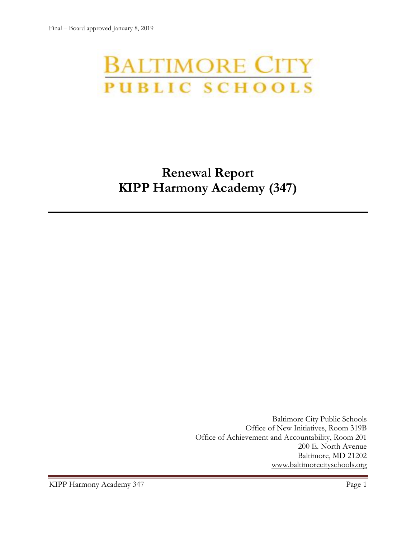# **BALTIMORE CITY** PUBLIC SCHOOLS

# **Renewal Report KIPP Harmony Academy (347)**

Baltimore City Public Schools Office of New Initiatives, Room 319B Office of Achievement and Accountability, Room 201 200 E. North Avenue Baltimore, MD 21202 [www.baltimorecityschools.org](http://www.baltimorecityschools.org/)

KIPP Harmony Academy 347 Page 1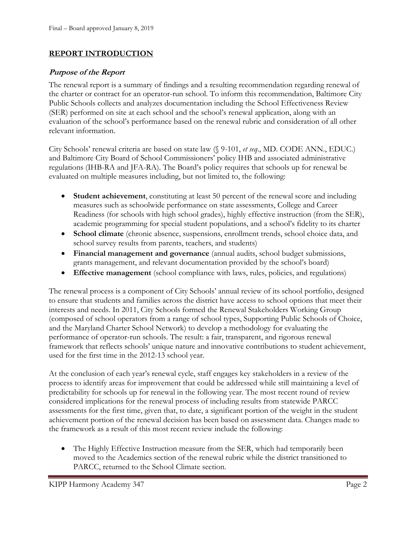#### **REPORT INTRODUCTION**

#### **Purpose of the Report**

The renewal report is a summary of findings and a resulting recommendation regarding renewal of the charter or contract for an operator-run school. To inform this recommendation, Baltimore City Public Schools collects and analyzes documentation including the School Effectiveness Review (SER) performed on site at each school and the school's renewal application, along with an evaluation of the school's performance based on the renewal rubric and consideration of all other relevant information.

City Schools' renewal criteria are based on state law (§ 9-101, *et seq*., MD. CODE ANN., EDUC.) and Baltimore City Board of School Commissioners' policy IHB and associated administrative regulations (IHB-RA and JFA-RA). The Board's policy requires that schools up for renewal be evaluated on multiple measures including, but not limited to, the following:

- **Student achievement**, constituting at least 50 percent of the renewal score and including measures such as schoolwide performance on state assessments, College and Career Readiness (for schools with high school grades), highly effective instruction (from the SER), academic programming for special student populations, and a school's fidelity to its charter
- **School climate** (chronic absence, suspensions, enrollment trends, school choice data, and school survey results from parents, teachers, and students)
- **Financial management and governance** (annual audits, school budget submissions, grants management, and relevant documentation provided by the school's board)
- **Effective management** (school compliance with laws, rules, policies, and regulations)

The renewal process is a component of City Schools' annual review of its school portfolio, designed to ensure that students and families across the district have access to school options that meet their interests and needs. In 2011, City Schools formed the Renewal Stakeholders Working Group (composed of school operators from a range of school types, Supporting Public Schools of Choice, and the Maryland Charter School Network) to develop a methodology for evaluating the performance of operator-run schools. The result: a fair, transparent, and rigorous renewal framework that reflects schools' unique nature and innovative contributions to student achievement, used for the first time in the 2012-13 school year.

At the conclusion of each year's renewal cycle, staff engages key stakeholders in a review of the process to identify areas for improvement that could be addressed while still maintaining a level of predictability for schools up for renewal in the following year. The most recent round of review considered implications for the renewal process of including results from statewide PARCC assessments for the first time, given that, to date, a significant portion of the weight in the student achievement portion of the renewal decision has been based on assessment data. Changes made to the framework as a result of this most recent review include the following:

• The Highly Effective Instruction measure from the SER, which had temporarily been moved to the Academics section of the renewal rubric while the district transitioned to PARCC, returned to the School Climate section.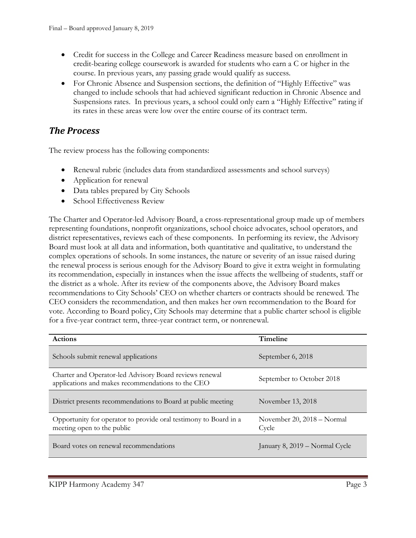- Credit for success in the College and Career Readiness measure based on enrollment in credit-bearing college coursework is awarded for students who earn a C or higher in the course. In previous years, any passing grade would qualify as success.
- For Chronic Absence and Suspension sections, the definition of "Highly Effective" was changed to include schools that had achieved significant reduction in Chronic Absence and Suspensions rates. In previous years, a school could only earn a "Highly Effective" rating if its rates in these areas were low over the entire course of its contract term.

### *The Process*

The review process has the following components:

- Renewal rubric (includes data from standardized assessments and school surveys)
- Application for renewal
- Data tables prepared by City Schools
- School Effectiveness Review

The Charter and Operator-led Advisory Board, a cross-representational group made up of members representing foundations, nonprofit organizations, school choice advocates, school operators, and district representatives, reviews each of these components. In performing its review, the Advisory Board must look at all data and information, both quantitative and qualitative, to understand the complex operations of schools. In some instances, the nature or severity of an issue raised during the renewal process is serious enough for the Advisory Board to give it extra weight in formulating its recommendation, especially in instances when the issue affects the wellbeing of students, staff or the district as a whole. After its review of the components above, the Advisory Board makes recommendations to City Schools' CEO on whether charters or contracts should be renewed. The CEO considers the recommendation, and then makes her own recommendation to the Board for vote. According to Board policy, City Schools may determine that a public charter school is eligible for a five-year contract term, three-year contract term, or nonrenewal.

| <b>Actions</b>                                                                                               | Timeline                            |
|--------------------------------------------------------------------------------------------------------------|-------------------------------------|
| Schools submit renewal applications                                                                          | September 6, 2018                   |
| Charter and Operator-led Advisory Board reviews renewal<br>applications and makes recommendations to the CEO | September to October 2018           |
| District presents recommendations to Board at public meeting                                                 | November 13, 2018                   |
| Opportunity for operator to provide oral testimony to Board in a<br>meeting open to the public               | November 20, 2018 - Normal<br>Cycle |
| Board votes on renewal recommendations                                                                       | January 8, 2019 - Normal Cycle      |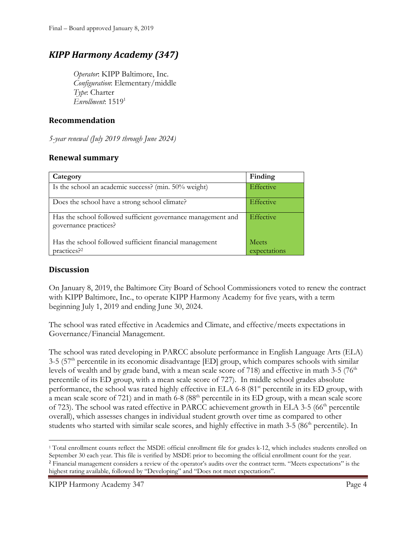## *KIPP Harmony Academy (347)*

*Operator*: KIPP Baltimore, Inc. *Configuration*: Elementary/middle *Type*: Charter *Enrollment*: 1519<sup>1</sup>

#### **Recommendation**

*5-year renewal (July 2019 through June 2024)*

#### **Renewal summary**

| Category                                                                              | Finding          |
|---------------------------------------------------------------------------------------|------------------|
| Is the school an academic success? (min. 50% weight)                                  | <b>Effective</b> |
| Does the school have a strong school climate?                                         | <b>Effective</b> |
| Has the school followed sufficient governance management and<br>governance practices? | Effective        |
| Has the school followed sufficient financial management                               | <b>Meets</b>     |
| practices? <sup>2</sup>                                                               | expectations     |

#### **Discussion**

l

On January 8, 2019, the Baltimore City Board of School Commissioners voted to renew the contract with KIPP Baltimore, Inc., to operate KIPP Harmony Academy for five years, with a term beginning July 1, 2019 and ending June 30, 2024.

The school was rated effective in Academics and Climate, and effective/meets expectations in Governance/Financial Management.

The school was rated developing in PARCC absolute performance in English Language Arts (ELA)  $3-5$  ( $57<sup>th</sup>$  percentile in its economic disadvantage [ED] group, which compares schools with similar levels of wealth and by grade band, with a mean scale score of 718) and effective in math 3-5 (76<sup>th</sup> percentile of its ED group, with a mean scale score of 727). In middle school grades absolute performance, the school was rated highly effective in ELA 6-8 (81<sup>st</sup> percentile in its ED group, with a mean scale score of 721) and in math 6-8 (88<sup>th</sup> percentile in its ED group, with a mean scale score of 723). The school was rated effective in PARCC achievement growth in ELA 3-5 ( $66<sup>th</sup>$  percentile overall), which assesses changes in individual student growth over time as compared to other students who started with similar scale scores, and highly effective in math 3-5 (86<sup>th</sup> percentile). In

<sup>1</sup> Total enrollment counts reflect the MSDE official enrollment file for grades k-12, which includes students enrolled on September 30 each year. This file is verified by MSDE prior to becoming the official enrollment count for the year. <sup>2</sup> Financial management considers a review of the operator's audits over the contract term. "Meets expectations" is the highest rating available, followed by "Developing" and "Does not meet expectations".

KIPP Harmony Academy 347 Page 4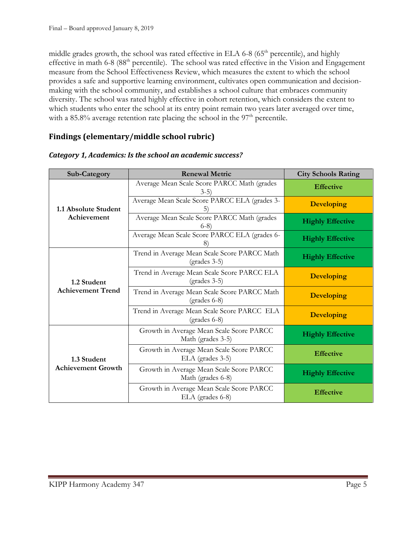middle grades growth, the school was rated effective in ELA 6-8 (65<sup>th</sup> percentile), and highly effective in math 6-8 (88<sup>th</sup> percentile). The school was rated effective in the Vision and Engagement measure from the School Effectiveness Review, which measures the extent to which the school provides a safe and supportive learning environment, cultivates open communication and decisionmaking with the school community, and establishes a school culture that embraces community diversity. The school was rated highly effective in cohort retention, which considers the extent to which students who enter the school at its entry point remain two years later averaged over time, with a  $85.8\%$  average retention rate placing the school in the  $97<sup>th</sup>$  percentile.

#### **Findings (elementary/middle school rubric)**

| Sub-Category                             | <b>Renewal Metric</b>                                          | <b>City Schools Rating</b> |
|------------------------------------------|----------------------------------------------------------------|----------------------------|
| 1.1 Absolute Student<br>Achievement      | Average Mean Scale Score PARCC Math (grades<br>$3-5)$          | <b>Effective</b>           |
|                                          | Average Mean Scale Score PARCC ELA (grades 3-<br>5)            | <b>Developing</b>          |
|                                          | Average Mean Scale Score PARCC Math (grades<br>$6-8$ )         | <b>Highly Effective</b>    |
|                                          | Average Mean Scale Score PARCC ELA (grades 6-                  | <b>Highly Effective</b>    |
| 1.2 Student<br><b>Achievement Trend</b>  | Trend in Average Mean Scale Score PARCC Math<br>$(grades 3-5)$ | <b>Highly Effective</b>    |
|                                          | Trend in Average Mean Scale Score PARCC ELA<br>$(grades 3-5)$  | <b>Developing</b>          |
|                                          | Trend in Average Mean Scale Score PARCC Math<br>$(grades 6-8)$ | <b>Developing</b>          |
|                                          | Trend in Average Mean Scale Score PARCC ELA<br>$(grades 6-8)$  | <b>Developing</b>          |
| 1.3 Student<br><b>Achievement Growth</b> | Growth in Average Mean Scale Score PARCC<br>Math (grades 3-5)  | <b>Highly Effective</b>    |
|                                          | Growth in Average Mean Scale Score PARCC<br>ELA (grades 3-5)   | <b>Effective</b>           |
|                                          | Growth in Average Mean Scale Score PARCC<br>Math (grades 6-8)  | <b>Highly Effective</b>    |
|                                          | Growth in Average Mean Scale Score PARCC<br>ELA (grades 6-8)   | <b>Effective</b>           |

#### *Category 1, Academics: Is the school an academic success?*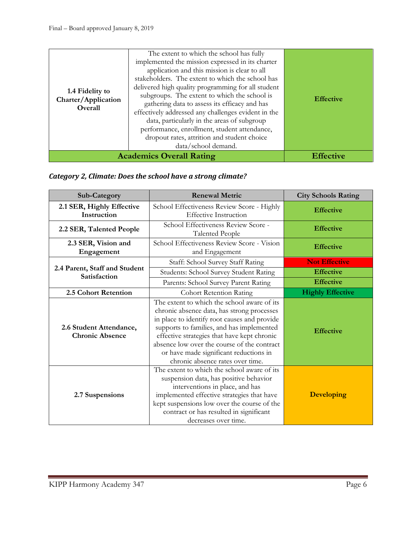| 1.4 Fidelity to<br>Charter/Application<br>Overall | The extent to which the school has fully<br>implemented the mission expressed in its charter<br>application and this mission is clear to all<br>stakeholders. The extent to which the school has<br>delivered high quality programming for all student<br>subgroups. The extent to which the school is<br>gathering data to assess its efficacy and has<br>effectively addressed any challenges evident in the<br>data, particularly in the areas of subgroup<br>performance, enrollment, student attendance,<br>dropout rates, attrition and student choice<br>data/school demand. | <b>Effective</b> |
|---------------------------------------------------|-------------------------------------------------------------------------------------------------------------------------------------------------------------------------------------------------------------------------------------------------------------------------------------------------------------------------------------------------------------------------------------------------------------------------------------------------------------------------------------------------------------------------------------------------------------------------------------|------------------|
|                                                   | <b>Academics Overall Rating</b>                                                                                                                                                                                                                                                                                                                                                                                                                                                                                                                                                     | <b>Effective</b> |

#### *Category 2, Climate: Does the school have a strong climate?*

| <b>Sub-Category</b>                               | <b>Renewal Metric</b>                                                                                                                                                                                                                                                                                                                                              | <b>City Schools Rating</b> |
|---------------------------------------------------|--------------------------------------------------------------------------------------------------------------------------------------------------------------------------------------------------------------------------------------------------------------------------------------------------------------------------------------------------------------------|----------------------------|
| 2.1 SER, Highly Effective<br>Instruction          | School Effectiveness Review Score - Highly<br><b>Effective Instruction</b>                                                                                                                                                                                                                                                                                         | <b>Effective</b>           |
| 2.2 SER, Talented People                          | School Effectiveness Review Score -<br><b>Talented People</b>                                                                                                                                                                                                                                                                                                      | <b>Effective</b>           |
| 2.3 SER, Vision and<br>Engagement                 | School Effectiveness Review Score - Vision<br>and Engagement                                                                                                                                                                                                                                                                                                       | <b>Effective</b>           |
|                                                   | Staff: School Survey Staff Rating                                                                                                                                                                                                                                                                                                                                  | <b>Not Effective</b>       |
| 2.4 Parent, Staff and Student<br>Satisfaction     | Students: School Survey Student Rating                                                                                                                                                                                                                                                                                                                             | <b>Effective</b>           |
|                                                   | Parents: School Survey Parent Rating                                                                                                                                                                                                                                                                                                                               | <b>Effective</b>           |
| 2.5 Cohort Retention                              | <b>Cohort Retention Rating</b>                                                                                                                                                                                                                                                                                                                                     | <b>Highly Effective</b>    |
| 2.6 Student Attendance,<br><b>Chronic Absence</b> | The extent to which the school aware of its<br>chronic absence data, has strong processes<br>in place to identify root causes and provide<br>supports to families, and has implemented<br>effective strategies that have kept chronic<br>absence low over the course of the contract<br>or have made significant reductions in<br>chronic absence rates over time. | <b>Effective</b>           |
| 2.7 Suspensions                                   | The extent to which the school aware of its<br>suspension data, has positive behavior<br>interventions in place, and has<br>implemented effective strategies that have<br>kept suspensions low over the course of the<br>contract or has resulted in significant<br>decreases over time.                                                                           | <b>Developing</b>          |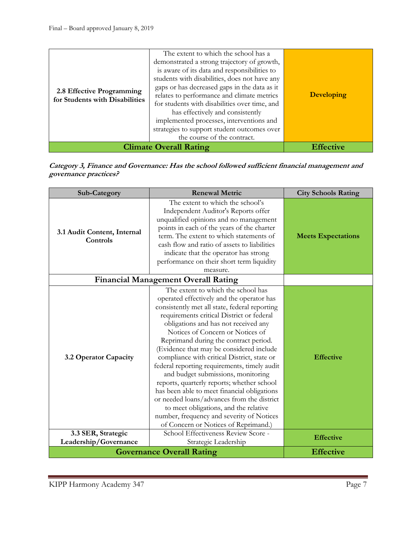| 2.8 Effective Programming<br>for Students with Disabilities | The extent to which the school has a<br>demonstrated a strong trajectory of growth,<br>is aware of its data and responsibilities to<br>students with disabilities, does not have any<br>gaps or has decreased gaps in the data as it<br>relates to performance and climate metrics<br>for students with disabilities over time, and<br>has effectively and consistently<br>implemented processes, interventions and<br>strategies to support student outcomes over<br>the course of the contract. | <b>Developing</b> |
|-------------------------------------------------------------|---------------------------------------------------------------------------------------------------------------------------------------------------------------------------------------------------------------------------------------------------------------------------------------------------------------------------------------------------------------------------------------------------------------------------------------------------------------------------------------------------|-------------------|
|                                                             | <b>Climate Overall Rating</b>                                                                                                                                                                                                                                                                                                                                                                                                                                                                     | <b>Effective</b>  |

**Category 3, Finance and Governance: Has the school followed sufficient financial management and governance practices?**

| Sub-Category                            | <b>Renewal Metric</b>                                                                                                                                                                                                                                                                                                                                                                                                                                                                                                                                                                                                                                                                                                                                        | <b>City Schools Rating</b> |
|-----------------------------------------|--------------------------------------------------------------------------------------------------------------------------------------------------------------------------------------------------------------------------------------------------------------------------------------------------------------------------------------------------------------------------------------------------------------------------------------------------------------------------------------------------------------------------------------------------------------------------------------------------------------------------------------------------------------------------------------------------------------------------------------------------------------|----------------------------|
| 3.1 Audit Content, Internal<br>Controls | The extent to which the school's<br>Independent Auditor's Reports offer<br>unqualified opinions and no management<br>points in each of the years of the charter<br>term. The extent to which statements of<br>cash flow and ratio of assets to liabilities<br>indicate that the operator has strong<br>performance on their short term liquidity<br>measure.                                                                                                                                                                                                                                                                                                                                                                                                 | <b>Meets Expectations</b>  |
|                                         | <b>Financial Management Overall Rating</b>                                                                                                                                                                                                                                                                                                                                                                                                                                                                                                                                                                                                                                                                                                                   |                            |
| 3.2 Operator Capacity                   | The extent to which the school has<br>operated effectively and the operator has<br>consistently met all state, federal reporting<br>requirements critical District or federal<br>obligations and has not received any<br>Notices of Concern or Notices of<br>Reprimand during the contract period.<br>(Evidence that may be considered include<br>compliance with critical District, state or<br>federal reporting requirements, timely audit<br>and budget submissions, monitoring<br>reports, quarterly reports; whether school<br>has been able to meet financial obligations<br>or needed loans/advances from the district<br>to meet obligations, and the relative<br>number, frequency and severity of Notices<br>of Concern or Notices of Reprimand.) | <b>Effective</b>           |
| 3.3 SER, Strategic                      | School Effectiveness Review Score -                                                                                                                                                                                                                                                                                                                                                                                                                                                                                                                                                                                                                                                                                                                          | <b>Effective</b>           |
| Leadership/Governance                   | Strategic Leadership                                                                                                                                                                                                                                                                                                                                                                                                                                                                                                                                                                                                                                                                                                                                         |                            |
|                                         | <b>Governance Overall Rating</b>                                                                                                                                                                                                                                                                                                                                                                                                                                                                                                                                                                                                                                                                                                                             | <b>Effective</b>           |